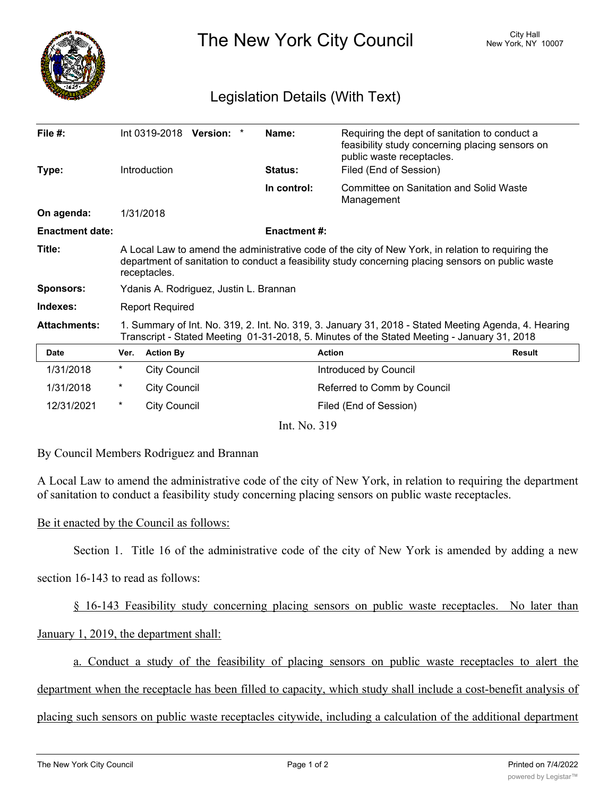

The New York City Council New York, NY 10007

# Legislation Details (With Text)

| File $#$ :             |                                                                                                                                                                                                                          | Int 0319-2018 Version: * |  |  | Name:               | Requiring the dept of sanitation to conduct a<br>feasibility study concerning placing sensors on<br>public waste receptacles. |               |
|------------------------|--------------------------------------------------------------------------------------------------------------------------------------------------------------------------------------------------------------------------|--------------------------|--|--|---------------------|-------------------------------------------------------------------------------------------------------------------------------|---------------|
| Type:                  |                                                                                                                                                                                                                          | Introduction             |  |  | Status:             | Filed (End of Session)                                                                                                        |               |
|                        |                                                                                                                                                                                                                          |                          |  |  | In control:         | Committee on Sanitation and Solid Waste<br>Management                                                                         |               |
| On agenda:             |                                                                                                                                                                                                                          | 1/31/2018                |  |  |                     |                                                                                                                               |               |
| <b>Enactment date:</b> |                                                                                                                                                                                                                          |                          |  |  | <b>Enactment #:</b> |                                                                                                                               |               |
| Title:                 | A Local Law to amend the administrative code of the city of New York, in relation to requiring the<br>department of sanitation to conduct a feasibility study concerning placing sensors on public waste<br>receptacles. |                          |  |  |                     |                                                                                                                               |               |
| <b>Sponsors:</b>       | Ydanis A. Rodriguez, Justin L. Brannan                                                                                                                                                                                   |                          |  |  |                     |                                                                                                                               |               |
| Indexes:               | <b>Report Required</b>                                                                                                                                                                                                   |                          |  |  |                     |                                                                                                                               |               |
| <b>Attachments:</b>    | 1. Summary of Int. No. 319, 2. Int. No. 319, 3. January 31, 2018 - Stated Meeting Agenda, 4. Hearing<br>Transcript - Stated Meeting 01-31-2018, 5. Minutes of the Stated Meeting - January 31, 2018                      |                          |  |  |                     |                                                                                                                               |               |
| Date                   | Ver.                                                                                                                                                                                                                     | <b>Action By</b>         |  |  |                     | <b>Action</b>                                                                                                                 | <b>Result</b> |
| 1/31/2018              | *                                                                                                                                                                                                                        | <b>City Council</b>      |  |  |                     | Introduced by Council                                                                                                         |               |
| 1/31/2018              | *                                                                                                                                                                                                                        | <b>City Council</b>      |  |  |                     | Referred to Comm by Council                                                                                                   |               |
| 12/31/2021             | $^{\star}$                                                                                                                                                                                                               | <b>City Council</b>      |  |  |                     | Filed (End of Session)                                                                                                        |               |
| Int. No. 319           |                                                                                                                                                                                                                          |                          |  |  |                     |                                                                                                                               |               |

By Council Members Rodriguez and Brannan

A Local Law to amend the administrative code of the city of New York, in relation to requiring the department of sanitation to conduct a feasibility study concerning placing sensors on public waste receptacles.

## Be it enacted by the Council as follows:

Section 1. Title 16 of the administrative code of the city of New York is amended by adding a new

section 16-143 to read as follows:

§ 16-143 Feasibility study concerning placing sensors on public waste receptacles. No later than

# January 1, 2019, the department shall:

a. Conduct a study of the feasibility of placing sensors on public waste receptacles to alert the

department when the receptacle has been filled to capacity, which study shall include a cost-benefit analysis of

placing such sensors on public waste receptacles citywide, including a calculation of the additional department